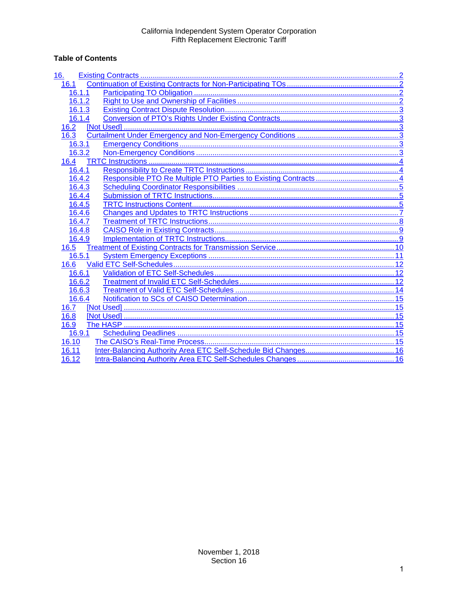# **Table of Contents**

| 16.    |  |
|--------|--|
| 16.1   |  |
| 16.1.1 |  |
| 16.1.2 |  |
| 16.1.3 |  |
| 16.1.4 |  |
| 16.2   |  |
| 16.3   |  |
| 16.3.1 |  |
| 16.3.2 |  |
| 16.4   |  |
| 16.4.1 |  |
| 16.4.2 |  |
| 16.4.3 |  |
| 16.4.4 |  |
| 16.4.5 |  |
| 16.4.6 |  |
| 16.4.7 |  |
| 16.4.8 |  |
| 16.4.9 |  |
| 16.5   |  |
| 16.5.1 |  |
| 16.6   |  |
| 16.6.1 |  |
| 16.6.2 |  |
| 16.6.3 |  |
| 16.6.4 |  |
| 16.7   |  |
| 16.8   |  |
| 16.9   |  |
| 16.9.1 |  |
| 16.10  |  |
| 16.11  |  |
| 16.12  |  |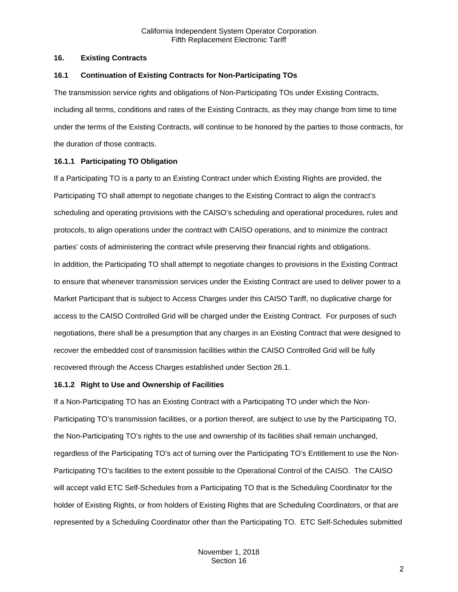### <span id="page-1-0"></span>**16. Existing Contracts**

### <span id="page-1-1"></span>**16.1 Continuation of Existing Contracts for Non-Participating TOs**

The transmission service rights and obligations of Non-Participating TOs under Existing Contracts, including all terms, conditions and rates of the Existing Contracts, as they may change from time to time under the terms of the Existing Contracts, will continue to be honored by the parties to those contracts, for the duration of those contracts.

# <span id="page-1-2"></span>**16.1.1 Participating TO Obligation**

If a Participating TO is a party to an Existing Contract under which Existing Rights are provided, the Participating TO shall attempt to negotiate changes to the Existing Contract to align the contract's scheduling and operating provisions with the CAISO's scheduling and operational procedures, rules and protocols, to align operations under the contract with CAISO operations, and to minimize the contract parties' costs of administering the contract while preserving their financial rights and obligations. In addition, the Participating TO shall attempt to negotiate changes to provisions in the Existing Contract to ensure that whenever transmission services under the Existing Contract are used to deliver power to a Market Participant that is subject to Access Charges under this CAISO Tariff, no duplicative charge for access to the CAISO Controlled Grid will be charged under the Existing Contract. For purposes of such negotiations, there shall be a presumption that any charges in an Existing Contract that were designed to recover the embedded cost of transmission facilities within the CAISO Controlled Grid will be fully recovered through the Access Charges established under Section 26.1.

# <span id="page-1-3"></span>**16.1.2 Right to Use and Ownership of Facilities**

If a Non-Participating TO has an Existing Contract with a Participating TO under which the Non-Participating TO's transmission facilities, or a portion thereof, are subject to use by the Participating TO, the Non-Participating TO's rights to the use and ownership of its facilities shall remain unchanged, regardless of the Participating TO's act of turning over the Participating TO's Entitlement to use the Non-Participating TO's facilities to the extent possible to the Operational Control of the CAISO. The CAISO will accept valid ETC Self-Schedules from a Participating TO that is the Scheduling Coordinator for the holder of Existing Rights, or from holders of Existing Rights that are Scheduling Coordinators, or that are represented by a Scheduling Coordinator other than the Participating TO. ETC Self-Schedules submitted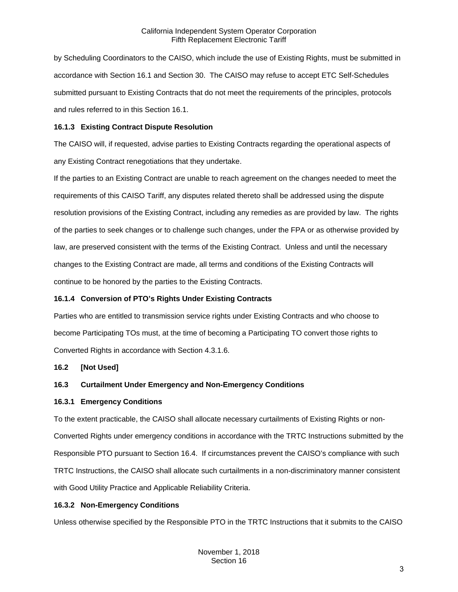by Scheduling Coordinators to the CAISO, which include the use of Existing Rights, must be submitted in accordance with Section 16.1 and Section 30. The CAISO may refuse to accept ETC Self-Schedules submitted pursuant to Existing Contracts that do not meet the requirements of the principles, protocols and rules referred to in this Section 16.1.

## <span id="page-2-0"></span>**16.1.3 Existing Contract Dispute Resolution**

The CAISO will, if requested, advise parties to Existing Contracts regarding the operational aspects of any Existing Contract renegotiations that they undertake.

If the parties to an Existing Contract are unable to reach agreement on the changes needed to meet the requirements of this CAISO Tariff, any disputes related thereto shall be addressed using the dispute resolution provisions of the Existing Contract, including any remedies as are provided by law. The rights of the parties to seek changes or to challenge such changes, under the FPA or as otherwise provided by law, are preserved consistent with the terms of the Existing Contract. Unless and until the necessary changes to the Existing Contract are made, all terms and conditions of the Existing Contracts will continue to be honored by the parties to the Existing Contracts.

## <span id="page-2-1"></span>**16.1.4 Conversion of PTO's Rights Under Existing Contracts**

Parties who are entitled to transmission service rights under Existing Contracts and who choose to become Participating TOs must, at the time of becoming a Participating TO convert those rights to Converted Rights in accordance with Section 4.3.1.6.

# <span id="page-2-2"></span>**16.2 [Not Used]**

# <span id="page-2-3"></span>**16.3 Curtailment Under Emergency and Non-Emergency Conditions**

#### <span id="page-2-4"></span>**16.3.1 Emergency Conditions**

To the extent practicable, the CAISO shall allocate necessary curtailments of Existing Rights or non-Converted Rights under emergency conditions in accordance with the TRTC Instructions submitted by the Responsible PTO pursuant to Section 16.4. If circumstances prevent the CAISO's compliance with such TRTC Instructions, the CAISO shall allocate such curtailments in a non-discriminatory manner consistent with Good Utility Practice and Applicable Reliability Criteria.

# <span id="page-2-5"></span>**16.3.2 Non-Emergency Conditions**

Unless otherwise specified by the Responsible PTO in the TRTC Instructions that it submits to the CAISO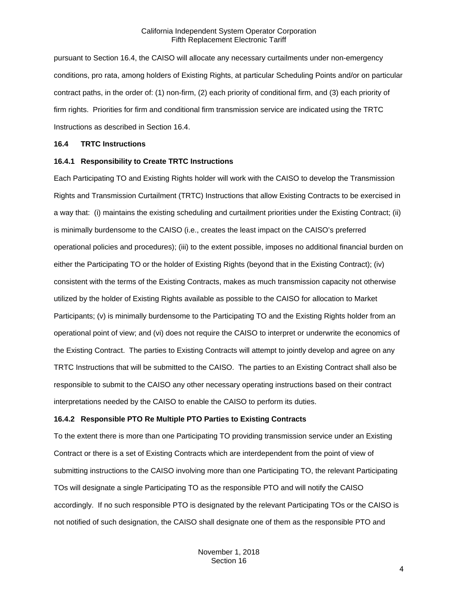pursuant to Section 16.4, the CAISO will allocate any necessary curtailments under non-emergency conditions, pro rata, among holders of Existing Rights, at particular Scheduling Points and/or on particular contract paths, in the order of: (1) non-firm, (2) each priority of conditional firm, and (3) each priority of firm rights. Priorities for firm and conditional firm transmission service are indicated using the TRTC Instructions as described in Section 16.4.

#### <span id="page-3-0"></span>**16.4 TRTC Instructions**

#### <span id="page-3-1"></span>**16.4.1 Responsibility to Create TRTC Instructions**

Each Participating TO and Existing Rights holder will work with the CAISO to develop the Transmission Rights and Transmission Curtailment (TRTC) Instructions that allow Existing Contracts to be exercised in a way that: (i) maintains the existing scheduling and curtailment priorities under the Existing Contract; (ii) is minimally burdensome to the CAISO (i.e., creates the least impact on the CAISO's preferred operational policies and procedures); (iii) to the extent possible, imposes no additional financial burden on either the Participating TO or the holder of Existing Rights (beyond that in the Existing Contract); (iv) consistent with the terms of the Existing Contracts, makes as much transmission capacity not otherwise utilized by the holder of Existing Rights available as possible to the CAISO for allocation to Market Participants; (v) is minimally burdensome to the Participating TO and the Existing Rights holder from an operational point of view; and (vi) does not require the CAISO to interpret or underwrite the economics of the Existing Contract. The parties to Existing Contracts will attempt to jointly develop and agree on any TRTC Instructions that will be submitted to the CAISO. The parties to an Existing Contract shall also be responsible to submit to the CAISO any other necessary operating instructions based on their contract interpretations needed by the CAISO to enable the CAISO to perform its duties.

# <span id="page-3-2"></span>**16.4.2 Responsible PTO Re Multiple PTO Parties to Existing Contracts**

To the extent there is more than one Participating TO providing transmission service under an Existing Contract or there is a set of Existing Contracts which are interdependent from the point of view of submitting instructions to the CAISO involving more than one Participating TO, the relevant Participating TOs will designate a single Participating TO as the responsible PTO and will notify the CAISO accordingly. If no such responsible PTO is designated by the relevant Participating TOs or the CAISO is not notified of such designation, the CAISO shall designate one of them as the responsible PTO and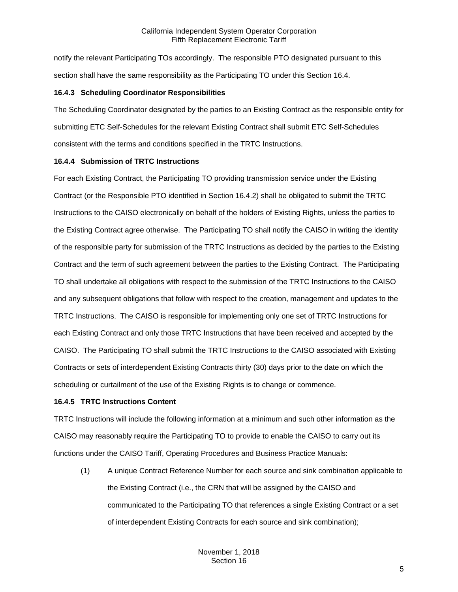notify the relevant Participating TOs accordingly. The responsible PTO designated pursuant to this section shall have the same responsibility as the Participating TO under this Section 16.4.

## <span id="page-4-0"></span>**16.4.3 Scheduling Coordinator Responsibilities**

The Scheduling Coordinator designated by the parties to an Existing Contract as the responsible entity for submitting ETC Self-Schedules for the relevant Existing Contract shall submit ETC Self-Schedules consistent with the terms and conditions specified in the TRTC Instructions.

## <span id="page-4-1"></span>**16.4.4 Submission of TRTC Instructions**

For each Existing Contract, the Participating TO providing transmission service under the Existing Contract (or the Responsible PTO identified in Section 16.4.2) shall be obligated to submit the TRTC Instructions to the CAISO electronically on behalf of the holders of Existing Rights, unless the parties to the Existing Contract agree otherwise. The Participating TO shall notify the CAISO in writing the identity of the responsible party for submission of the TRTC Instructions as decided by the parties to the Existing Contract and the term of such agreement between the parties to the Existing Contract. The Participating TO shall undertake all obligations with respect to the submission of the TRTC Instructions to the CAISO and any subsequent obligations that follow with respect to the creation, management and updates to the TRTC Instructions. The CAISO is responsible for implementing only one set of TRTC Instructions for each Existing Contract and only those TRTC Instructions that have been received and accepted by the CAISO. The Participating TO shall submit the TRTC Instructions to the CAISO associated with Existing Contracts or sets of interdependent Existing Contracts thirty (30) days prior to the date on which the scheduling or curtailment of the use of the Existing Rights is to change or commence.

#### <span id="page-4-2"></span>**16.4.5 TRTC Instructions Content**

TRTC Instructions will include the following information at a minimum and such other information as the CAISO may reasonably require the Participating TO to provide to enable the CAISO to carry out its functions under the CAISO Tariff, Operating Procedures and Business Practice Manuals:

(1) A unique Contract Reference Number for each source and sink combination applicable to the Existing Contract (i.e., the CRN that will be assigned by the CAISO and communicated to the Participating TO that references a single Existing Contract or a set of interdependent Existing Contracts for each source and sink combination);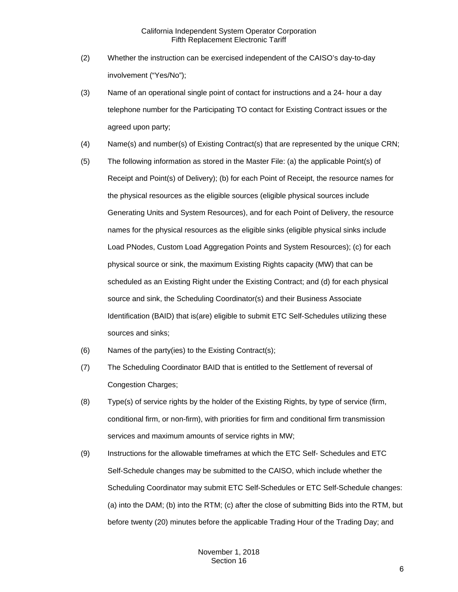- (2) Whether the instruction can be exercised independent of the CAISO's day-to-day involvement ("Yes/No");
- (3) Name of an operational single point of contact for instructions and a 24- hour a day telephone number for the Participating TO contact for Existing Contract issues or the agreed upon party;
- (4) Name(s) and number(s) of Existing Contract(s) that are represented by the unique CRN;
- (5) The following information as stored in the Master File: (a) the applicable Point(s) of Receipt and Point(s) of Delivery); (b) for each Point of Receipt, the resource names for the physical resources as the eligible sources (eligible physical sources include Generating Units and System Resources), and for each Point of Delivery, the resource names for the physical resources as the eligible sinks (eligible physical sinks include Load PNodes, Custom Load Aggregation Points and System Resources); (c) for each physical source or sink, the maximum Existing Rights capacity (MW) that can be scheduled as an Existing Right under the Existing Contract; and (d) for each physical source and sink, the Scheduling Coordinator(s) and their Business Associate Identification (BAID) that is(are) eligible to submit ETC Self-Schedules utilizing these sources and sinks;
- (6) Names of the party(ies) to the Existing Contract(s);
- (7) The Scheduling Coordinator BAID that is entitled to the Settlement of reversal of Congestion Charges;
- (8) Type(s) of service rights by the holder of the Existing Rights, by type of service (firm, conditional firm, or non-firm), with priorities for firm and conditional firm transmission services and maximum amounts of service rights in MW;
- (9) Instructions for the allowable timeframes at which the ETC Self- Schedules and ETC Self-Schedule changes may be submitted to the CAISO, which include whether the Scheduling Coordinator may submit ETC Self-Schedules or ETC Self-Schedule changes: (a) into the DAM; (b) into the RTM; (c) after the close of submitting Bids into the RTM, but before twenty (20) minutes before the applicable Trading Hour of the Trading Day; and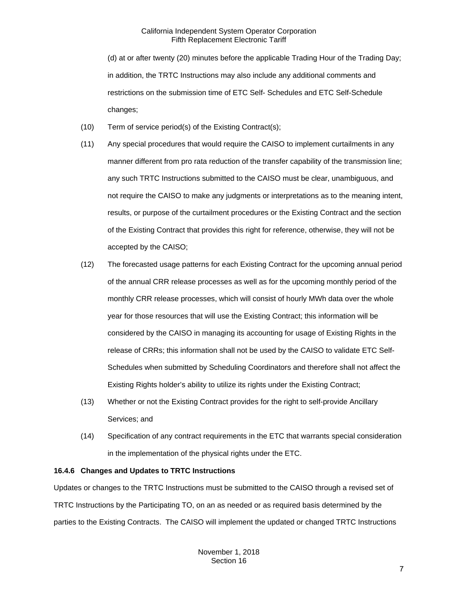(d) at or after twenty (20) minutes before the applicable Trading Hour of the Trading Day; in addition, the TRTC Instructions may also include any additional comments and restrictions on the submission time of ETC Self- Schedules and ETC Self-Schedule changes;

- (10) Term of service period(s) of the Existing Contract(s);
- (11) Any special procedures that would require the CAISO to implement curtailments in any manner different from pro rata reduction of the transfer capability of the transmission line; any such TRTC Instructions submitted to the CAISO must be clear, unambiguous, and not require the CAISO to make any judgments or interpretations as to the meaning intent, results, or purpose of the curtailment procedures or the Existing Contract and the section of the Existing Contract that provides this right for reference, otherwise, they will not be accepted by the CAISO;
- (12) The forecasted usage patterns for each Existing Contract for the upcoming annual period of the annual CRR release processes as well as for the upcoming monthly period of the monthly CRR release processes, which will consist of hourly MWh data over the whole year for those resources that will use the Existing Contract; this information will be considered by the CAISO in managing its accounting for usage of Existing Rights in the release of CRRs; this information shall not be used by the CAISO to validate ETC Self-Schedules when submitted by Scheduling Coordinators and therefore shall not affect the Existing Rights holder's ability to utilize its rights under the Existing Contract;
- (13) Whether or not the Existing Contract provides for the right to self-provide Ancillary Services; and
- (14) Specification of any contract requirements in the ETC that warrants special consideration in the implementation of the physical rights under the ETC.

# <span id="page-6-0"></span>**16.4.6 Changes and Updates to TRTC Instructions**

Updates or changes to the TRTC Instructions must be submitted to the CAISO through a revised set of TRTC Instructions by the Participating TO, on an as needed or as required basis determined by the parties to the Existing Contracts. The CAISO will implement the updated or changed TRTC Instructions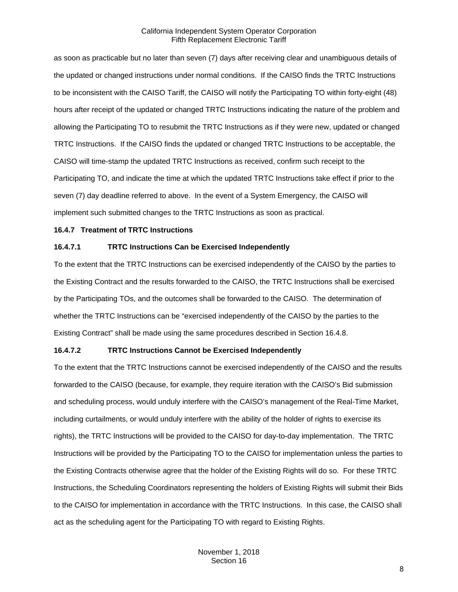as soon as practicable but no later than seven (7) days after receiving clear and unambiguous details of the updated or changed instructions under normal conditions. If the CAISO finds the TRTC Instructions to be inconsistent with the CAISO Tariff, the CAISO will notify the Participating TO within forty-eight (48) hours after receipt of the updated or changed TRTC Instructions indicating the nature of the problem and allowing the Participating TO to resubmit the TRTC Instructions as if they were new, updated or changed TRTC Instructions. If the CAISO finds the updated or changed TRTC Instructions to be acceptable, the CAISO will time-stamp the updated TRTC Instructions as received, confirm such receipt to the Participating TO, and indicate the time at which the updated TRTC Instructions take effect if prior to the seven (7) day deadline referred to above. In the event of a System Emergency, the CAISO will implement such submitted changes to the TRTC Instructions as soon as practical.

## <span id="page-7-0"></span>**16.4.7 Treatment of TRTC Instructions**

#### **16.4.7.1 TRTC Instructions Can be Exercised Independently**

To the extent that the TRTC Instructions can be exercised independently of the CAISO by the parties to the Existing Contract and the results forwarded to the CAISO, the TRTC Instructions shall be exercised by the Participating TOs, and the outcomes shall be forwarded to the CAISO. The determination of whether the TRTC Instructions can be "exercised independently of the CAISO by the parties to the Existing Contract" shall be made using the same procedures described in Section 16.4.8.

#### **16.4.7.2 TRTC Instructions Cannot be Exercised Independently**

To the extent that the TRTC Instructions cannot be exercised independently of the CAISO and the results forwarded to the CAISO (because, for example, they require iteration with the CAISO's Bid submission and scheduling process, would unduly interfere with the CAISO's management of the Real-Time Market, including curtailments, or would unduly interfere with the ability of the holder of rights to exercise its rights), the TRTC Instructions will be provided to the CAISO for day-to-day implementation. The TRTC Instructions will be provided by the Participating TO to the CAISO for implementation unless the parties to the Existing Contracts otherwise agree that the holder of the Existing Rights will do so. For these TRTC Instructions, the Scheduling Coordinators representing the holders of Existing Rights will submit their Bids to the CAISO for implementation in accordance with the TRTC Instructions. In this case, the CAISO shall act as the scheduling agent for the Participating TO with regard to Existing Rights.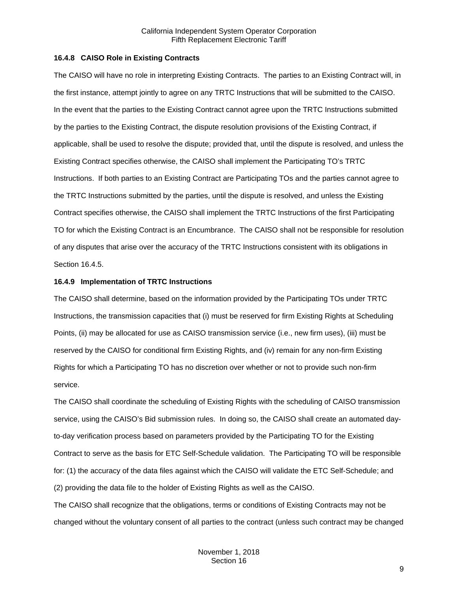## <span id="page-8-0"></span>**16.4.8 CAISO Role in Existing Contracts**

The CAISO will have no role in interpreting Existing Contracts. The parties to an Existing Contract will, in the first instance, attempt jointly to agree on any TRTC Instructions that will be submitted to the CAISO. In the event that the parties to the Existing Contract cannot agree upon the TRTC Instructions submitted by the parties to the Existing Contract, the dispute resolution provisions of the Existing Contract, if applicable, shall be used to resolve the dispute; provided that, until the dispute is resolved, and unless the Existing Contract specifies otherwise, the CAISO shall implement the Participating TO's TRTC Instructions. If both parties to an Existing Contract are Participating TOs and the parties cannot agree to the TRTC Instructions submitted by the parties, until the dispute is resolved, and unless the Existing Contract specifies otherwise, the CAISO shall implement the TRTC Instructions of the first Participating TO for which the Existing Contract is an Encumbrance. The CAISO shall not be responsible for resolution of any disputes that arise over the accuracy of the TRTC Instructions consistent with its obligations in Section 16.4.5.

## <span id="page-8-1"></span>**16.4.9 Implementation of TRTC Instructions**

The CAISO shall determine, based on the information provided by the Participating TOs under TRTC Instructions, the transmission capacities that (i) must be reserved for firm Existing Rights at Scheduling Points, (ii) may be allocated for use as CAISO transmission service (i.e., new firm uses), (iii) must be reserved by the CAISO for conditional firm Existing Rights, and (iv) remain for any non-firm Existing Rights for which a Participating TO has no discretion over whether or not to provide such non-firm service.

The CAISO shall coordinate the scheduling of Existing Rights with the scheduling of CAISO transmission service, using the CAISO's Bid submission rules. In doing so, the CAISO shall create an automated dayto-day verification process based on parameters provided by the Participating TO for the Existing Contract to serve as the basis for ETC Self-Schedule validation. The Participating TO will be responsible for: (1) the accuracy of the data files against which the CAISO will validate the ETC Self-Schedule; and (2) providing the data file to the holder of Existing Rights as well as the CAISO.

The CAISO shall recognize that the obligations, terms or conditions of Existing Contracts may not be changed without the voluntary consent of all parties to the contract (unless such contract may be changed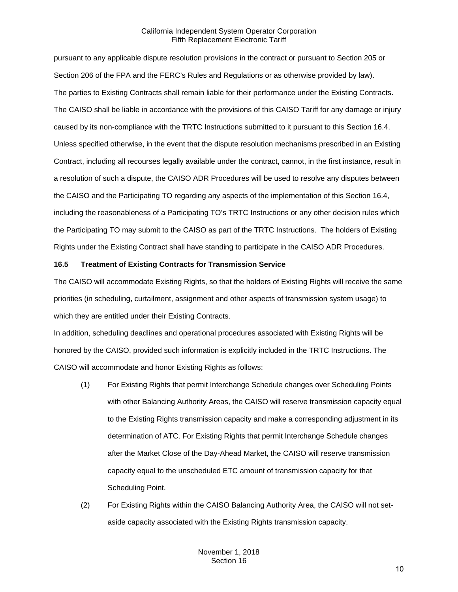pursuant to any applicable dispute resolution provisions in the contract or pursuant to Section 205 or Section 206 of the FPA and the FERC's Rules and Regulations or as otherwise provided by law). The parties to Existing Contracts shall remain liable for their performance under the Existing Contracts. The CAISO shall be liable in accordance with the provisions of this CAISO Tariff for any damage or injury caused by its non-compliance with the TRTC Instructions submitted to it pursuant to this Section 16.4. Unless specified otherwise, in the event that the dispute resolution mechanisms prescribed in an Existing Contract, including all recourses legally available under the contract, cannot, in the first instance, result in a resolution of such a dispute, the CAISO ADR Procedures will be used to resolve any disputes between the CAISO and the Participating TO regarding any aspects of the implementation of this Section 16.4, including the reasonableness of a Participating TO's TRTC Instructions or any other decision rules which the Participating TO may submit to the CAISO as part of the TRTC Instructions. The holders of Existing Rights under the Existing Contract shall have standing to participate in the CAISO ADR Procedures.

#### <span id="page-9-0"></span>**16.5 Treatment of Existing Contracts for Transmission Service**

The CAISO will accommodate Existing Rights, so that the holders of Existing Rights will receive the same priorities (in scheduling, curtailment, assignment and other aspects of transmission system usage) to which they are entitled under their Existing Contracts.

In addition, scheduling deadlines and operational procedures associated with Existing Rights will be honored by the CAISO, provided such information is explicitly included in the TRTC Instructions. The CAISO will accommodate and honor Existing Rights as follows:

- (1) For Existing Rights that permit Interchange Schedule changes over Scheduling Points with other Balancing Authority Areas, the CAISO will reserve transmission capacity equal to the Existing Rights transmission capacity and make a corresponding adjustment in its determination of ATC. For Existing Rights that permit Interchange Schedule changes after the Market Close of the Day-Ahead Market, the CAISO will reserve transmission capacity equal to the unscheduled ETC amount of transmission capacity for that Scheduling Point.
- (2) For Existing Rights within the CAISO Balancing Authority Area, the CAISO will not setaside capacity associated with the Existing Rights transmission capacity.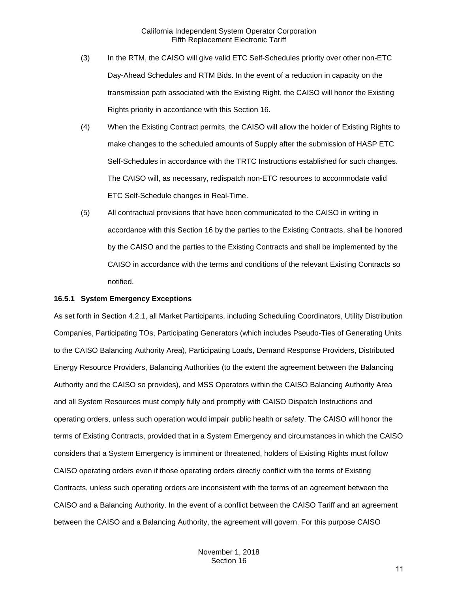- (3) In the RTM, the CAISO will give valid ETC Self-Schedules priority over other non-ETC Day-Ahead Schedules and RTM Bids. In the event of a reduction in capacity on the transmission path associated with the Existing Right, the CAISO will honor the Existing Rights priority in accordance with this Section 16.
- (4) When the Existing Contract permits, the CAISO will allow the holder of Existing Rights to make changes to the scheduled amounts of Supply after the submission of HASP ETC Self-Schedules in accordance with the TRTC Instructions established for such changes. The CAISO will, as necessary, redispatch non-ETC resources to accommodate valid ETC Self-Schedule changes in Real-Time.
- (5) All contractual provisions that have been communicated to the CAISO in writing in accordance with this Section 16 by the parties to the Existing Contracts, shall be honored by the CAISO and the parties to the Existing Contracts and shall be implemented by the CAISO in accordance with the terms and conditions of the relevant Existing Contracts so notified.

### <span id="page-10-0"></span>**16.5.1 System Emergency Exceptions**

As set forth in Section 4.2.1, all Market Participants, including Scheduling Coordinators, Utility Distribution Companies, Participating TOs, Participating Generators (which includes Pseudo-Ties of Generating Units to the CAISO Balancing Authority Area), Participating Loads, Demand Response Providers, Distributed Energy Resource Providers, Balancing Authorities (to the extent the agreement between the Balancing Authority and the CAISO so provides), and MSS Operators within the CAISO Balancing Authority Area and all System Resources must comply fully and promptly with CAISO Dispatch Instructions and operating orders, unless such operation would impair public health or safety. The CAISO will honor the terms of Existing Contracts, provided that in a System Emergency and circumstances in which the CAISO considers that a System Emergency is imminent or threatened, holders of Existing Rights must follow CAISO operating orders even if those operating orders directly conflict with the terms of Existing Contracts, unless such operating orders are inconsistent with the terms of an agreement between the CAISO and a Balancing Authority. In the event of a conflict between the CAISO Tariff and an agreement between the CAISO and a Balancing Authority, the agreement will govern. For this purpose CAISO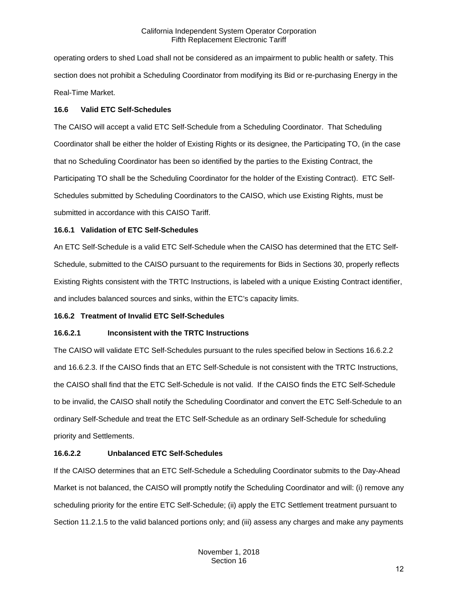operating orders to shed Load shall not be considered as an impairment to public health or safety. This section does not prohibit a Scheduling Coordinator from modifying its Bid or re-purchasing Energy in the Real-Time Market.

# <span id="page-11-0"></span>**16.6 Valid ETC Self-Schedules**

The CAISO will accept a valid ETC Self-Schedule from a Scheduling Coordinator. That Scheduling Coordinator shall be either the holder of Existing Rights or its designee, the Participating TO, (in the case that no Scheduling Coordinator has been so identified by the parties to the Existing Contract, the Participating TO shall be the Scheduling Coordinator for the holder of the Existing Contract). ETC Self-Schedules submitted by Scheduling Coordinators to the CAISO, which use Existing Rights, must be submitted in accordance with this CAISO Tariff.

# <span id="page-11-1"></span>**16.6.1 Validation of ETC Self-Schedules**

An ETC Self-Schedule is a valid ETC Self-Schedule when the CAISO has determined that the ETC Self-Schedule, submitted to the CAISO pursuant to the requirements for Bids in Sections 30, properly reflects Existing Rights consistent with the TRTC Instructions, is labeled with a unique Existing Contract identifier, and includes balanced sources and sinks, within the ETC's capacity limits.

# <span id="page-11-2"></span>**16.6.2 Treatment of Invalid ETC Self-Schedules**

# **16.6.2.1 Inconsistent with the TRTC Instructions**

The CAISO will validate ETC Self-Schedules pursuant to the rules specified below in Sections 16.6.2.2 and 16.6.2.3. If the CAISO finds that an ETC Self-Schedule is not consistent with the TRTC Instructions, the CAISO shall find that the ETC Self-Schedule is not valid. If the CAISO finds the ETC Self-Schedule to be invalid, the CAISO shall notify the Scheduling Coordinator and convert the ETC Self-Schedule to an ordinary Self-Schedule and treat the ETC Self-Schedule as an ordinary Self-Schedule for scheduling priority and Settlements.

# **16.6.2.2 Unbalanced ETC Self-Schedules**

If the CAISO determines that an ETC Self-Schedule a Scheduling Coordinator submits to the Day-Ahead Market is not balanced, the CAISO will promptly notify the Scheduling Coordinator and will: (i) remove any scheduling priority for the entire ETC Self-Schedule; (ii) apply the ETC Settlement treatment pursuant to Section 11.2.1.5 to the valid balanced portions only; and (iii) assess any charges and make any payments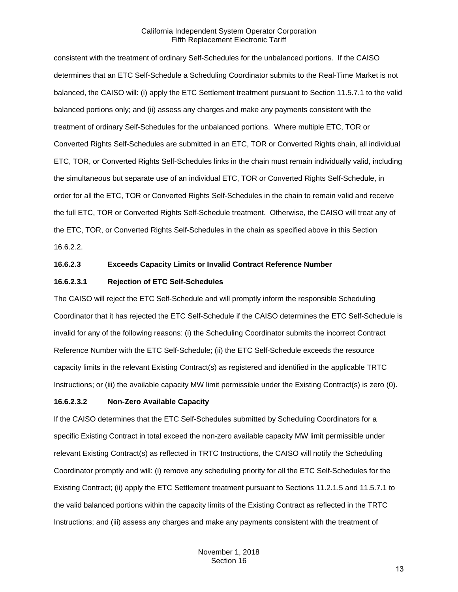consistent with the treatment of ordinary Self-Schedules for the unbalanced portions. If the CAISO determines that an ETC Self-Schedule a Scheduling Coordinator submits to the Real-Time Market is not balanced, the CAISO will: (i) apply the ETC Settlement treatment pursuant to Section 11.5.7.1 to the valid balanced portions only; and (ii) assess any charges and make any payments consistent with the treatment of ordinary Self-Schedules for the unbalanced portions. Where multiple ETC, TOR or Converted Rights Self-Schedules are submitted in an ETC, TOR or Converted Rights chain, all individual ETC, TOR, or Converted Rights Self-Schedules links in the chain must remain individually valid, including the simultaneous but separate use of an individual ETC, TOR or Converted Rights Self-Schedule, in order for all the ETC, TOR or Converted Rights Self-Schedules in the chain to remain valid and receive the full ETC, TOR or Converted Rights Self-Schedule treatment. Otherwise, the CAISO will treat any of the ETC, TOR, or Converted Rights Self-Schedules in the chain as specified above in this Section 16.6.2.2.

#### **16.6.2.3 Exceeds Capacity Limits or Invalid Contract Reference Number**

## **16.6.2.3.1 Rejection of ETC Self-Schedules**

The CAISO will reject the ETC Self-Schedule and will promptly inform the responsible Scheduling Coordinator that it has rejected the ETC Self-Schedule if the CAISO determines the ETC Self-Schedule is invalid for any of the following reasons: (i) the Scheduling Coordinator submits the incorrect Contract Reference Number with the ETC Self-Schedule; (ii) the ETC Self-Schedule exceeds the resource capacity limits in the relevant Existing Contract(s) as registered and identified in the applicable TRTC Instructions; or (iii) the available capacity MW limit permissible under the Existing Contract(s) is zero (0).

#### **16.6.2.3.2 Non-Zero Available Capacity**

If the CAISO determines that the ETC Self-Schedules submitted by Scheduling Coordinators for a specific Existing Contract in total exceed the non-zero available capacity MW limit permissible under relevant Existing Contract(s) as reflected in TRTC Instructions, the CAISO will notify the Scheduling Coordinator promptly and will: (i) remove any scheduling priority for all the ETC Self-Schedules for the Existing Contract; (ii) apply the ETC Settlement treatment pursuant to Sections 11.2.1.5 and 11.5.7.1 to the valid balanced portions within the capacity limits of the Existing Contract as reflected in the TRTC Instructions; and (iii) assess any charges and make any payments consistent with the treatment of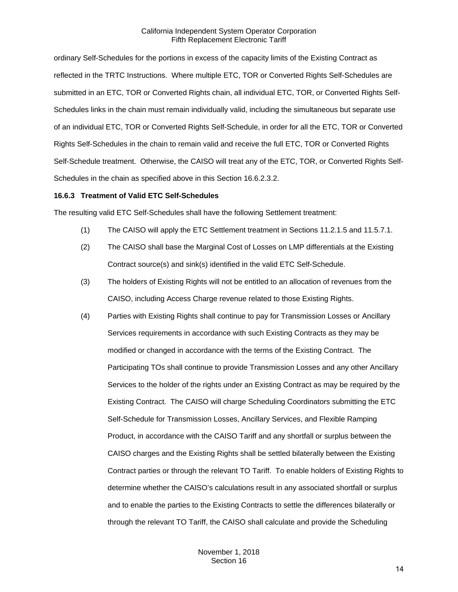ordinary Self-Schedules for the portions in excess of the capacity limits of the Existing Contract as reflected in the TRTC Instructions. Where multiple ETC, TOR or Converted Rights Self-Schedules are submitted in an ETC, TOR or Converted Rights chain, all individual ETC, TOR, or Converted Rights Self-Schedules links in the chain must remain individually valid, including the simultaneous but separate use of an individual ETC, TOR or Converted Rights Self-Schedule, in order for all the ETC, TOR or Converted Rights Self-Schedules in the chain to remain valid and receive the full ETC, TOR or Converted Rights Self-Schedule treatment. Otherwise, the CAISO will treat any of the ETC, TOR, or Converted Rights Self-Schedules in the chain as specified above in this Section 16.6.2.3.2.

#### <span id="page-13-0"></span>**16.6.3 Treatment of Valid ETC Self-Schedules**

The resulting valid ETC Self-Schedules shall have the following Settlement treatment:

- (1) The CAISO will apply the ETC Settlement treatment in Sections 11.2.1.5 and 11.5.7.1.
- (2) The CAISO shall base the Marginal Cost of Losses on LMP differentials at the Existing Contract source(s) and sink(s) identified in the valid ETC Self-Schedule.
- (3) The holders of Existing Rights will not be entitled to an allocation of revenues from the CAISO, including Access Charge revenue related to those Existing Rights.
- (4) Parties with Existing Rights shall continue to pay for Transmission Losses or Ancillary Services requirements in accordance with such Existing Contracts as they may be modified or changed in accordance with the terms of the Existing Contract. The Participating TOs shall continue to provide Transmission Losses and any other Ancillary Services to the holder of the rights under an Existing Contract as may be required by the Existing Contract. The CAISO will charge Scheduling Coordinators submitting the ETC Self-Schedule for Transmission Losses, Ancillary Services, and Flexible Ramping Product, in accordance with the CAISO Tariff and any shortfall or surplus between the CAISO charges and the Existing Rights shall be settled bilaterally between the Existing Contract parties or through the relevant TO Tariff. To enable holders of Existing Rights to determine whether the CAISO's calculations result in any associated shortfall or surplus and to enable the parties to the Existing Contracts to settle the differences bilaterally or through the relevant TO Tariff, the CAISO shall calculate and provide the Scheduling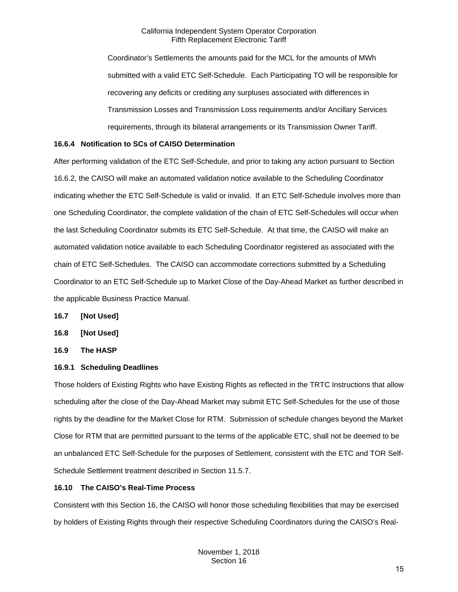Coordinator's Settlements the amounts paid for the MCL for the amounts of MWh submitted with a valid ETC Self-Schedule. Each Participating TO will be responsible for recovering any deficits or crediting any surpluses associated with differences in Transmission Losses and Transmission Loss requirements and/or Ancillary Services requirements, through its bilateral arrangements or its Transmission Owner Tariff.

# <span id="page-14-0"></span>**16.6.4 Notification to SCs of CAISO Determination**

After performing validation of the ETC Self-Schedule, and prior to taking any action pursuant to Section 16.6.2, the CAISO will make an automated validation notice available to the Scheduling Coordinator indicating whether the ETC Self-Schedule is valid or invalid. If an ETC Self-Schedule involves more than one Scheduling Coordinator, the complete validation of the chain of ETC Self-Schedules will occur when the last Scheduling Coordinator submits its ETC Self-Schedule. At that time, the CAISO will make an automated validation notice available to each Scheduling Coordinator registered as associated with the chain of ETC Self-Schedules. The CAISO can accommodate corrections submitted by a Scheduling Coordinator to an ETC Self-Schedule up to Market Close of the Day-Ahead Market as further described in the applicable Business Practice Manual.

- <span id="page-14-1"></span>**16.7 [Not Used]**
- <span id="page-14-2"></span>**16.8 [Not Used]**
- <span id="page-14-3"></span>**16.9 The HASP**

# <span id="page-14-4"></span>**16.9.1 Scheduling Deadlines**

Those holders of Existing Rights who have Existing Rights as reflected in the TRTC Instructions that allow scheduling after the close of the Day-Ahead Market may submit ETC Self-Schedules for the use of those rights by the deadline for the Market Close for RTM. Submission of schedule changes beyond the Market Close for RTM that are permitted pursuant to the terms of the applicable ETC, shall not be deemed to be an unbalanced ETC Self-Schedule for the purposes of Settlement, consistent with the ETC and TOR Self-Schedule Settlement treatment described in Section 11.5.7.

# <span id="page-14-5"></span>**16.10 The CAISO's Real-Time Process**

Consistent with this Section 16, the CAISO will honor those scheduling flexibilities that may be exercised by holders of Existing Rights through their respective Scheduling Coordinators during the CAISO's Real-